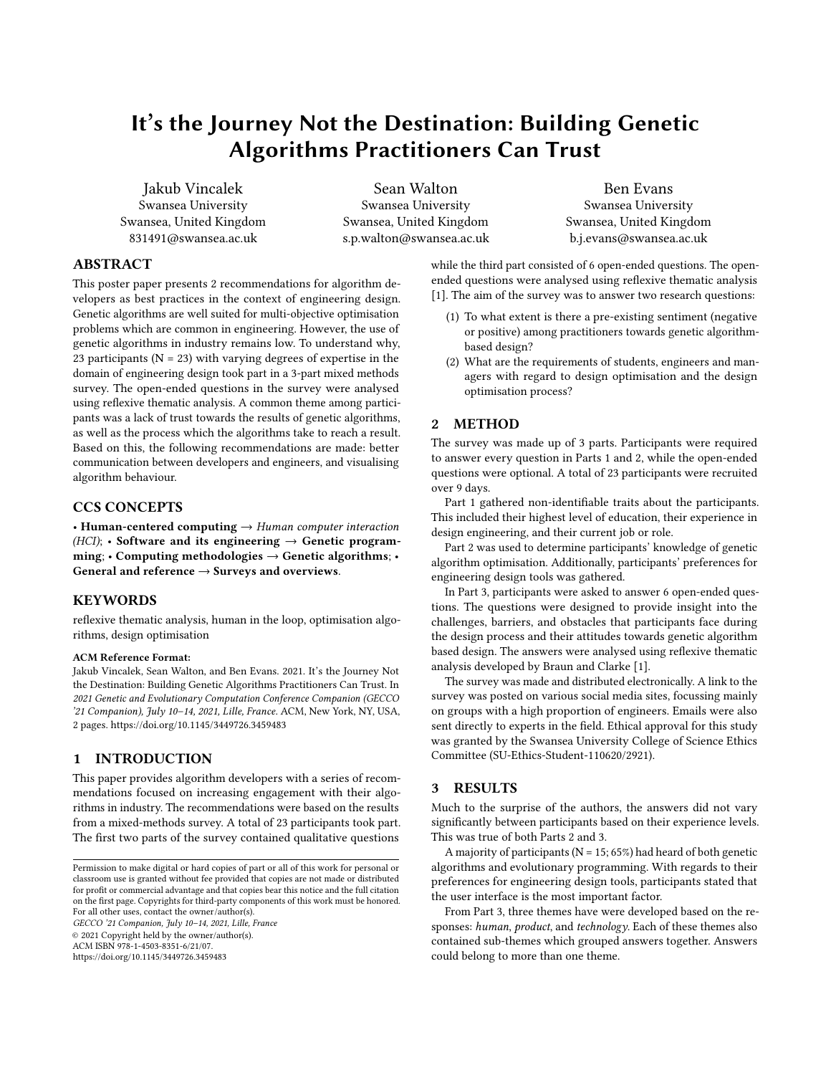# It's the Journey Not the Destination: Building Genetic Algorithms Practitioners Can Trust

Jakub Vincalek Swansea University Swansea, United Kingdom 831491@swansea.ac.uk

Sean Walton Swansea University Swansea, United Kingdom s.p.walton@swansea.ac.uk

Ben Evans Swansea University Swansea, United Kingdom b.j.evans@swansea.ac.uk

## ABSTRACT

This poster paper presents 2 recommendations for algorithm developers as best practices in the context of engineering design. Genetic algorithms are well suited for multi-objective optimisation problems which are common in engineering. However, the use of genetic algorithms in industry remains low. To understand why, 23 participants ( $N = 23$ ) with varying degrees of expertise in the domain of engineering design took part in a 3-part mixed methods survey. The open-ended questions in the survey were analysed using reflexive thematic analysis. A common theme among participants was a lack of trust towards the results of genetic algorithms, as well as the process which the algorithms take to reach a result. Based on this, the following recommendations are made: better communication between developers and engineers, and visualising algorithm behaviour.

## CCS CONCEPTS

• Human-centered computing  $\rightarrow$  Human computer interaction  $(HCI)$ ; • Software and its engineering  $\rightarrow$  Genetic programming;  $\cdot$  Computing methodologies  $\rightarrow$  Genetic algorithms;  $\cdot$ General and reference  $\rightarrow$  Surveys and overviews.

#### **KEYWORDS**

reflexive thematic analysis, human in the loop, optimisation algorithms, design optimisation

#### ACM Reference Format:

Jakub Vincalek, Sean Walton, and Ben Evans. 2021. It's the Journey Not the Destination: Building Genetic Algorithms Practitioners Can Trust. In 2021 Genetic and Evolutionary Computation Conference Companion (GECCO '21 Companion), July 10–14, 2021, Lille, France. ACM, New York, NY, USA, [2](#page-1-0) pages.<https://doi.org/10.1145/3449726.3459483>

## 1 INTRODUCTION

This paper provides algorithm developers with a series of recommendations focused on increasing engagement with their algorithms in industry. The recommendations were based on the results from a mixed-methods survey. A total of 23 participants took part. The first two parts of the survey contained qualitative questions

GECCO '21 Companion, July 10–14, 2021, Lille, France © 2021 Copyright held by the owner/author(s). ACM ISBN 978-1-4503-8351-6/21/07.

<https://doi.org/10.1145/3449726.3459483>

while the third part consisted of 6 open-ended questions. The openended questions were analysed using reflexive thematic analysis [\[1\]](#page-1-1). The aim of the survey was to answer two research questions:

- (1) To what extent is there a pre-existing sentiment (negative or positive) among practitioners towards genetic algorithmbased design?
- (2) What are the requirements of students, engineers and managers with regard to design optimisation and the design optimisation process?

### 2 METHOD

The survey was made up of 3 parts. Participants were required to answer every question in Parts 1 and 2, while the open-ended questions were optional. A total of 23 participants were recruited over 9 days.

Part 1 gathered non-identifiable traits about the participants. This included their highest level of education, their experience in design engineering, and their current job or role.

Part 2 was used to determine participants' knowledge of genetic algorithm optimisation. Additionally, participants' preferences for engineering design tools was gathered.

In Part 3, participants were asked to answer 6 open-ended questions. The questions were designed to provide insight into the challenges, barriers, and obstacles that participants face during the design process and their attitudes towards genetic algorithm based design. The answers were analysed using reflexive thematic analysis developed by Braun and Clarke [\[1\]](#page-1-1).

The survey was made and distributed electronically. A link to the survey was posted on various social media sites, focussing mainly on groups with a high proportion of engineers. Emails were also sent directly to experts in the field. Ethical approval for this study was granted by the Swansea University College of Science Ethics Committee (SU-Ethics-Student-110620/2921).

#### 3 RESULTS

Much to the surprise of the authors, the answers did not vary significantly between participants based on their experience levels. This was true of both Parts 2 and 3.

A majority of participants ( $N = 15$ ; 65%) had heard of both genetic algorithms and evolutionary programming. With regards to their preferences for engineering design tools, participants stated that the user interface is the most important factor.

From Part 3, three themes have were developed based on the responses: human, product, and technology. Each of these themes also contained sub-themes which grouped answers together. Answers could belong to more than one theme.

Permission to make digital or hard copies of part or all of this work for personal or classroom use is granted without fee provided that copies are not made or distributed for profit or commercial advantage and that copies bear this notice and the full citation on the first page. Copyrights for third-party components of this work must be honored. For all other uses, contact the owner/author(s).